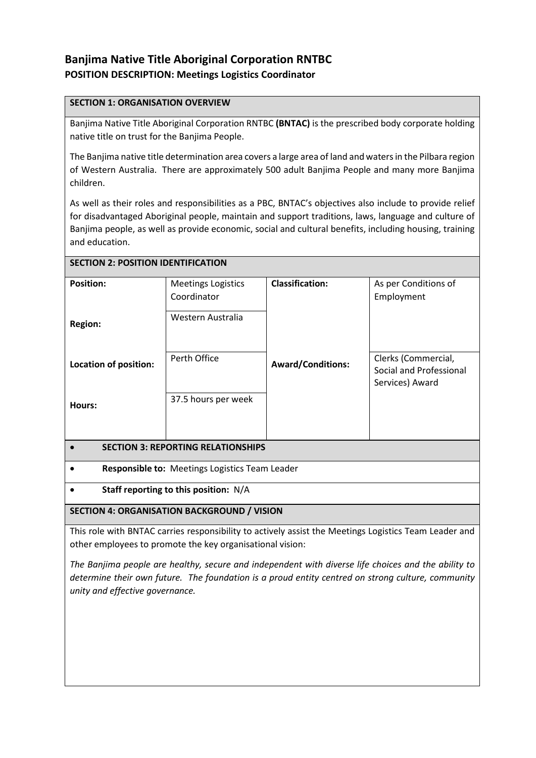# **Banjima Native Title Aboriginal Corporation RNTBC POSITION DESCRIPTION: Meetings Logistics Coordinator**

### **SECTION 1: ORGANISATION OVERVIEW**

Banjima Native Title Aboriginal Corporation RNTBC **(BNTAC)** is the prescribed body corporate holding native title on trust for the Banjima People.

The Banjima native title determination area covers a large area of land and waters in the Pilbara region of Western Australia. There are approximately 500 adult Banjima People and many more Banjima children.

As well as their roles and responsibilities as a PBC, BNTAC's objectives also include to provide relief for disadvantaged Aboriginal people, maintain and support traditions, laws, language and culture of Banjima people, as well as provide economic, social and cultural benefits, including housing, training and education.

| <b>SECTION 2: POSITION IDENTIFICATION</b>             |                           |                          |                                                                   |
|-------------------------------------------------------|---------------------------|--------------------------|-------------------------------------------------------------------|
| <b>Position:</b>                                      | <b>Meetings Logistics</b> | <b>Classification:</b>   | As per Conditions of                                              |
|                                                       | Coordinator               |                          | Employment                                                        |
| <b>Region:</b>                                        | Western Australia         |                          |                                                                   |
| <b>Location of position:</b>                          | Perth Office              | <b>Award/Conditions:</b> | Clerks (Commercial,<br>Social and Professional<br>Services) Award |
| Hours:                                                | 37.5 hours per week       |                          |                                                                   |
| <b>SECTION 3: REPORTING RELATIONSHIPS</b>             |                           |                          |                                                                   |
| <b>Responsible to: Meetings Logistics Team Leader</b> |                           |                          |                                                                   |
| Staff reporting to this position: N/A                 |                           |                          |                                                                   |

# **SECTION 4: ORGANISATION BACKGROUND / VISION**

This role with BNTAC carries responsibility to actively assist the Meetings Logistics Team Leader and other employees to promote the key organisational vision:

*The Banjima people are healthy, secure and independent with diverse life choices and the ability to determine their own future. The foundation is a proud entity centred on strong culture, community unity and effective governance.*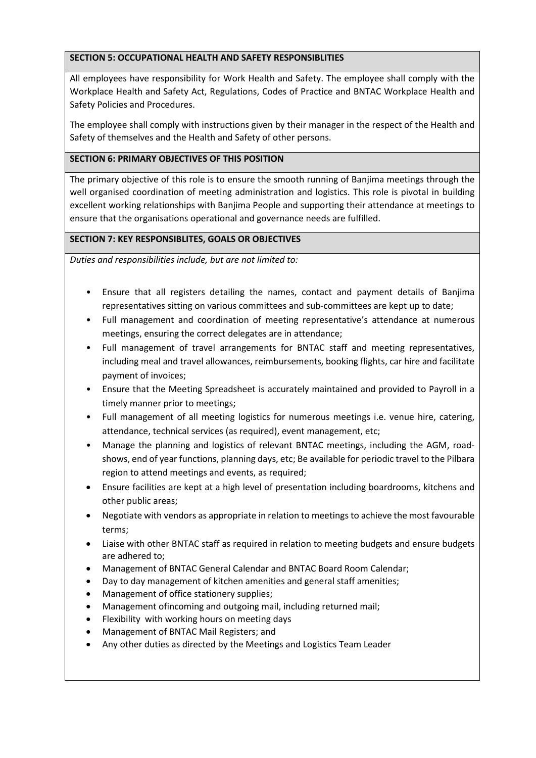# **SECTION 5: OCCUPATIONAL HEALTH AND SAFETY RESPONSIBLITIES**

All employees have responsibility for Work Health and Safety. The employee shall comply with the Workplace Health and Safety Act, Regulations, Codes of Practice and BNTAC Workplace Health and Safety Policies and Procedures.

The employee shall comply with instructions given by their manager in the respect of the Health and Safety of themselves and the Health and Safety of other persons.

# **SECTION 6: PRIMARY OBJECTIVES OF THIS POSITION**

The primary objective of this role is to ensure the smooth running of Banjima meetings through the well organised coordination of meeting administration and logistics. This role is pivotal in building excellent working relationships with Banjima People and supporting their attendance at meetings to ensure that the organisations operational and governance needs are fulfilled.

### **SECTION 7: KEY RESPONSIBLITES, GOALS OR OBJECTIVES**

*Duties and responsibilities include, but are not limited to:*

- Ensure that all registers detailing the names, contact and payment details of Banjima representatives sitting on various committees and sub-committees are kept up to date;
- Full management and coordination of meeting representative's attendance at numerous meetings, ensuring the correct delegates are in attendance;
- Full management of travel arrangements for BNTAC staff and meeting representatives, including meal and travel allowances, reimbursements, booking flights, car hire and facilitate payment of invoices;
- Ensure that the Meeting Spreadsheet is accurately maintained and provided to Payroll in a timely manner prior to meetings;
- Full management of all meeting logistics for numerous meetings i.e. venue hire, catering, attendance, technical services (as required), event management, etc;
- Manage the planning and logistics of relevant BNTAC meetings, including the AGM, roadshows, end of year functions, planning days, etc; Be available for periodic travel to the Pilbara region to attend meetings and events, as required;
- Ensure facilities are kept at a high level of presentation including boardrooms, kitchens and other public areas;
- Negotiate with vendors as appropriate in relation to meetings to achieve the most favourable terms;
- Liaise with other BNTAC staff as required in relation to meeting budgets and ensure budgets are adhered to;
- Management of BNTAC General Calendar and BNTAC Board Room Calendar;
- Day to day management of kitchen amenities and general staff amenities;
- Management of office stationery supplies;
- Management ofincoming and outgoing mail, including returned mail;
- Flexibility with working hours on meeting days
- Management of BNTAC Mail Registers; and
- Any other duties as directed by the Meetings and Logistics Team Leader